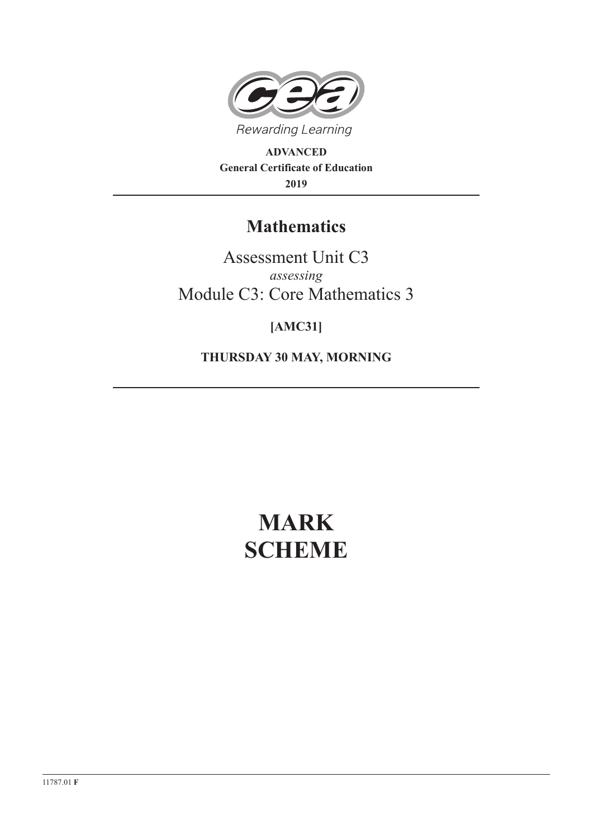

**ADVANCED General Certificate of Education 2019**

## **Mathematics**

Assessment Unit C3 *assessing* Module C3: Core Mathematics 3

### **[AMC31]**

**THURSDAY 30 MAY, MORNING**

# **MARK SCHEME**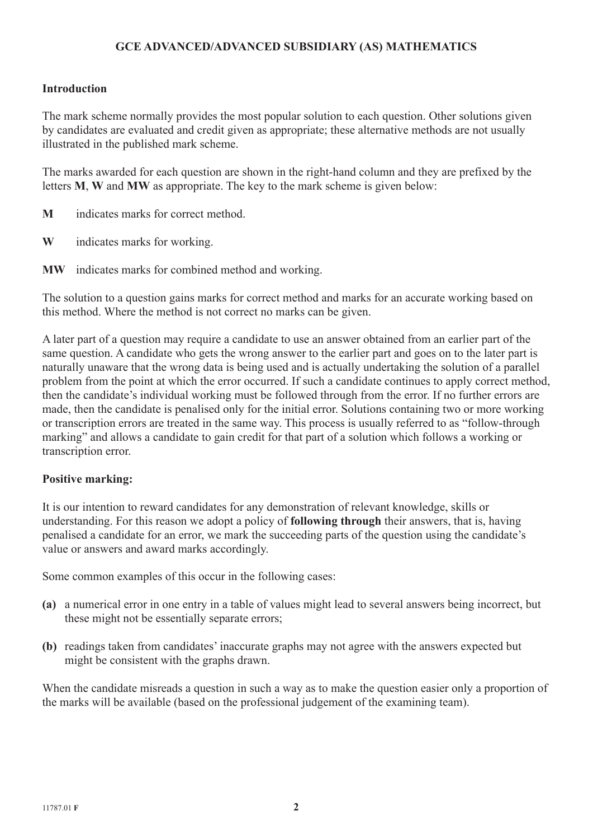#### **GCE ADVANCED/ADVANCED SUBSIDIARY (AS) MATHEMATICS**

#### **Introduction**

The mark scheme normally provides the most popular solution to each question. Other solutions given by candidates are evaluated and credit given as appropriate; these alternative methods are not usually illustrated in the published mark scheme.

The marks awarded for each question are shown in the right-hand column and they are prefixed by the letters **M**, **W** and **MW** as appropriate. The key to the mark scheme is given below:

- **M** indicates marks for correct method.
- **W** indicates marks for working.
- **MW** indicates marks for combined method and working.

The solution to a question gains marks for correct method and marks for an accurate working based on this method. Where the method is not correct no marks can be given.

A later part of a question may require a candidate to use an answer obtained from an earlier part of the same question. A candidate who gets the wrong answer to the earlier part and goes on to the later part is naturally unaware that the wrong data is being used and is actually undertaking the solution of a parallel problem from the point at which the error occurred. If such a candidate continues to apply correct method, then the candidate's individual working must be followed through from the error. If no further errors are made, then the candidate is penalised only for the initial error. Solutions containing two or more working or transcription errors are treated in the same way. This process is usually referred to as "follow-through marking" and allows a candidate to gain credit for that part of a solution which follows a working or transcription error.

#### **Positive marking:**

It is our intention to reward candidates for any demonstration of relevant knowledge, skills or understanding. For this reason we adopt a policy of **following through** their answers, that is, having penalised a candidate for an error, we mark the succeeding parts of the question using the candidate's value or answers and award marks accordingly.

Some common examples of this occur in the following cases:

- **(a)** a numerical error in one entry in a table of values might lead to several answers being incorrect, but these might not be essentially separate errors;
- **(b)** readings taken from candidates' inaccurate graphs may not agree with the answers expected but might be consistent with the graphs drawn.

When the candidate misreads a question in such a way as to make the question easier only a proportion of the marks will be available (based on the professional judgement of the examining team).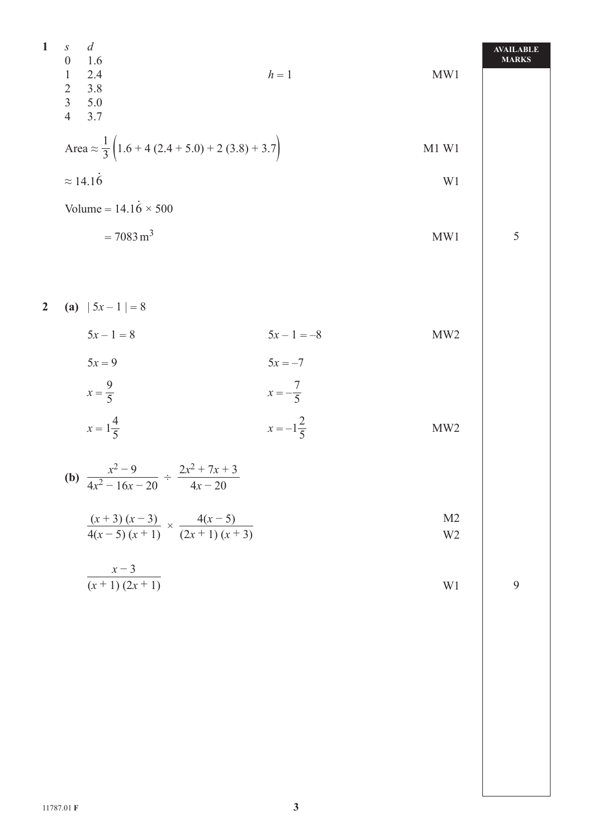1 s d  
\n0 1.6  
\n1 2.4  
\n2 3.8  
\n3 5.0  
\n4 3.7  
\nArea 
$$
\approx \frac{1}{3} \left( 1.6 + 4 (2.4 + 5.0) + 2 (3.8) + 3.7 \right)
$$
  
\n $\approx 14.16$  W1  
\nVolume = 14.16 × 500  
\n= 7083 m<sup>3</sup>

**2** (a) 
$$
|5x-1| = 8
$$

$$
5x - 1 = 8
$$
  
\n
$$
5x - 1 = -8
$$
  
\n
$$
5x = 9
$$
  
\n
$$
x = \frac{9}{5}
$$
  
\n
$$
x = 1\frac{4}{5}
$$
  
\n
$$
x = 1\frac{4}{5}
$$
  
\n
$$
x = -1\frac{2}{5}
$$
  
\n
$$
x = -1\frac{2}{5}
$$
  
\n
$$
x = -1\frac{2}{5}
$$
  
\n
$$
x = -1\frac{2}{5}
$$
  
\n
$$
x = -1\frac{2}{5}
$$
  
\n
$$
x = -1\frac{2}{5}
$$

**(b)** 
$$
\frac{x^2 - 9}{4x^2 - 16x - 20} \div \frac{2x^2 + 7x + 3}{4x - 20}
$$

$$
\frac{(x + 3) (x - 3)}{4(x - 5) (x + 1)} \times \frac{4(x - 5)}{(2x + 1) (x + 3)}
$$
M2<sup>2</sup>W2

$$
\frac{1}{(x+1)(2x+1)}
$$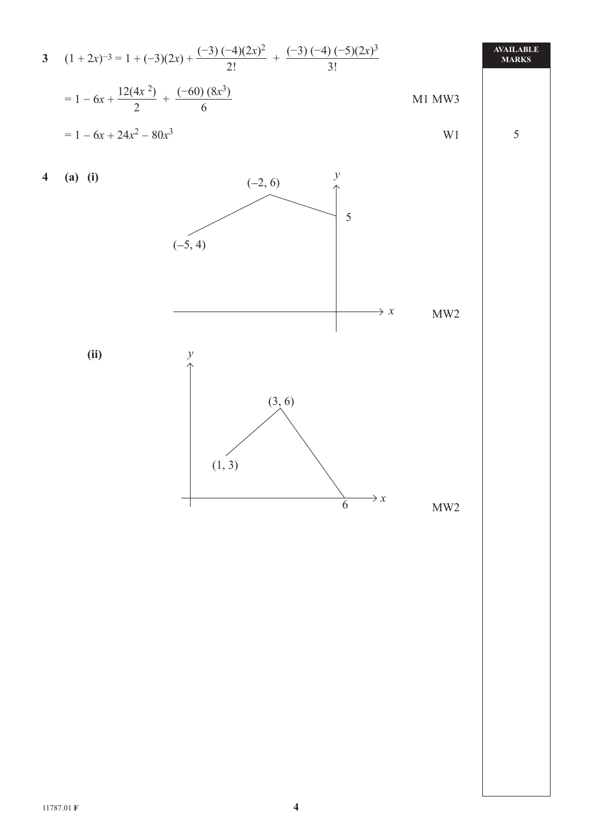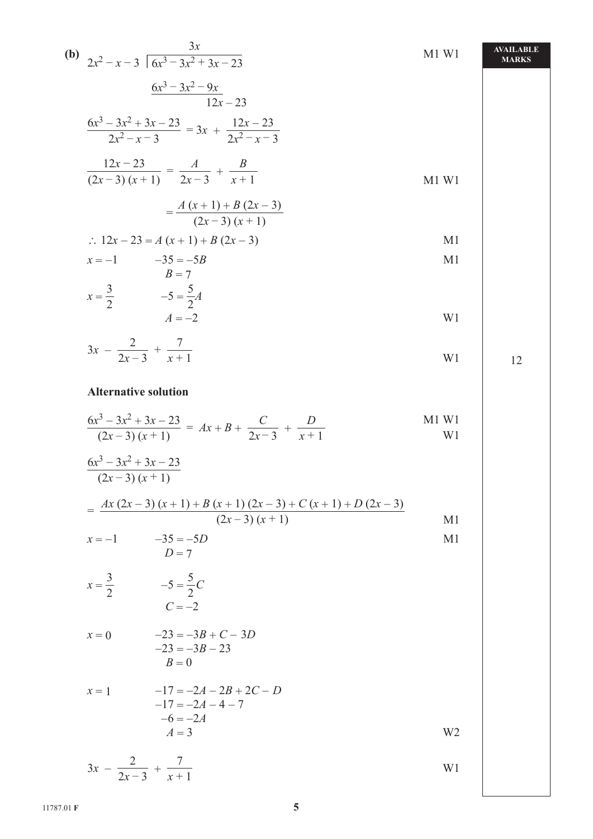| ( <b>b</b> ) $2x^2 - x - 3 \overline{6x^3 - 3x^2 + 3x - 23}$                                  | M1 W1                   | <b>AVAILABLE</b><br><b>MARKS</b> |
|-----------------------------------------------------------------------------------------------|-------------------------|----------------------------------|
| $\frac{6x^3 - 3x^2 - 9x}{x}$<br>$12x - 23$                                                    |                         |                                  |
| $\frac{6x^3 - 3x^2 + 3x - 23}{2x^2 - x - 3} = 3x + \frac{12x - 23}{2x^2 - x - 3}$             |                         |                                  |
| $\frac{12x-23}{(2x-3)(x+1)} = \frac{A}{2x-3} + \frac{B}{x+1}$                                 | M1 W1                   |                                  |
| $=\frac{A (x + 1) + B (2x - 3)}{(2x - 3) (x + 1)}$                                            |                         |                                  |
| $\therefore$ 12x – 23 = A (x + 1) + B (2x – 3)                                                | M <sub>1</sub>          |                                  |
| $x = -1$ $-35 = -5B$                                                                          | M <sub>1</sub>          |                                  |
| $B=7$<br>$x = \frac{3}{2}$ $-5 = \frac{5}{2}A$                                                |                         |                                  |
|                                                                                               |                         |                                  |
| $A=-2$                                                                                        | W <sub>1</sub>          |                                  |
| $3x - \frac{2}{2x-3} + \frac{7}{x+1}$                                                         | W <sub>1</sub>          | 12                               |
| <b>Alternative solution</b>                                                                   |                         |                                  |
| $\frac{6x^3 - 3x^2 + 3x - 23}{(2x - 3)(x + 1)} = Ax + B + \frac{C}{2x - 3} + \frac{D}{x + 1}$ | M1 W1<br>W <sub>1</sub> |                                  |
| $6x^3 - 3x^2 + 3x - 23$<br>$(2x-3)(x+1)$                                                      |                         |                                  |
|                                                                                               |                         |                                  |
| $= \frac{Ax(2x-3)(x+1)+B(x+1)(2x-3)+C(x+1)+D(2x-3)}{(2x-3)(x+1)}$                             | M <sub>1</sub>          |                                  |
| $x = -1$ $-35 = -5D$<br>$D=7$                                                                 | M <sub>1</sub>          |                                  |
| $x = \frac{3}{2}$ $-5 = \frac{5}{2}C$<br>$C = -2$                                             |                         |                                  |
| $-23 = -3B + C - 3D$<br>$x = 0$<br>$-23 = -3B - 23$<br>$B=0$                                  |                         |                                  |
| $-17 = -2A - 2B + 2C - D$<br>$x=1$<br>$-17 = -2A - 4 - 7$<br>$-6 = -2A$<br>$A=3$              | W <sub>2</sub>          |                                  |
|                                                                                               |                         |                                  |
| $3x - \frac{2}{2x-3} + \frac{7}{x+1}$                                                         | W <sub>1</sub>          |                                  |

 $\overline{\phantom{a}}$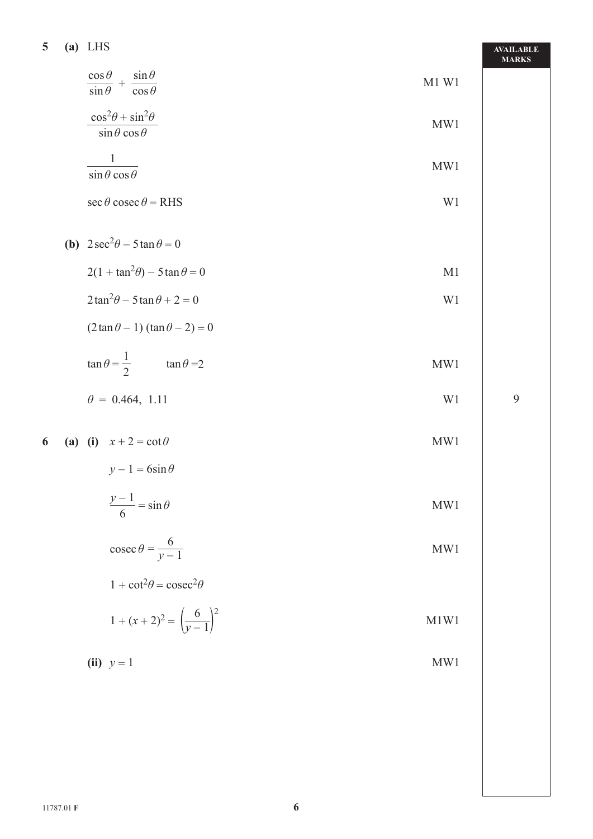| . | .HN |
|---|-----|
|   |     |

| $\mathbf{u}$ $\mathbf{u}$                                       |                | <u>AVAILABLE</u><br><b>MARKS</b> |
|-----------------------------------------------------------------|----------------|----------------------------------|
| $\frac{\cos\theta}{\sin\theta} + \frac{\sin\theta}{\cos\theta}$ | $M1$ W1        |                                  |
| $\cos^2\theta + \sin^2\theta$<br>$\sin \theta \cos \theta$      | MW1            |                                  |
| $\mathbf{1}$<br>$\sin \theta \cos \theta$                       | MW1            |                                  |
| $\sec \theta \csc \theta = RHS$                                 | W1             |                                  |
| ( <b>b</b> ) $2\sec^2\theta - 5\tan\theta = 0$                  |                |                                  |
| $2(1 + \tan^2 \theta) - 5 \tan \theta = 0$                      | M <sub>1</sub> |                                  |
| $2\tan^2\theta - 5\tan\theta + 2 = 0$                           | W1             |                                  |
| $(2\tan\theta - 1) (\tan\theta - 2) = 0$                        |                |                                  |
| $\tan \theta = \frac{1}{2}$ $\tan \theta = 2$                   | MW1            |                                  |
| $\theta = 0.464, 1.11$                                          | W1             | 9                                |
| (a) (i) $x + 2 = \cot \theta$                                   | MW1            |                                  |
| $y-1 = 6\sin\theta$                                             |                |                                  |
| $\frac{y-1}{6} = \sin \theta$                                   | MW1            |                                  |
| $\csc \theta = \frac{6}{y-1}$                                   | MW1            |                                  |
|                                                                 |                |                                  |

$$
1 + \cot^2 \theta = \csc^2 \theta
$$

$$
1 + (x+2)^2 = \left(\frac{6}{y-1}\right)^2
$$
 M1W1

 $MW1$ 

$$
(ii) \quad y = 1
$$

 $\boldsymbol{6}$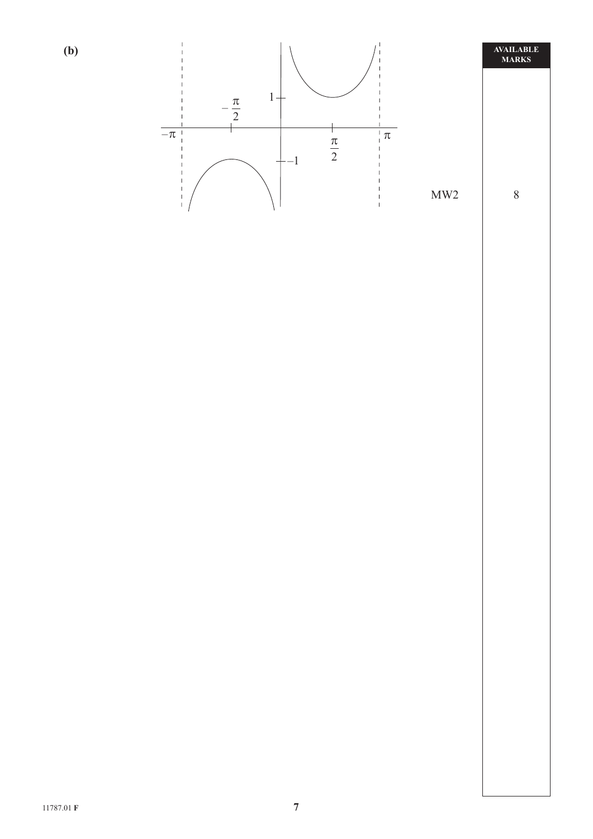

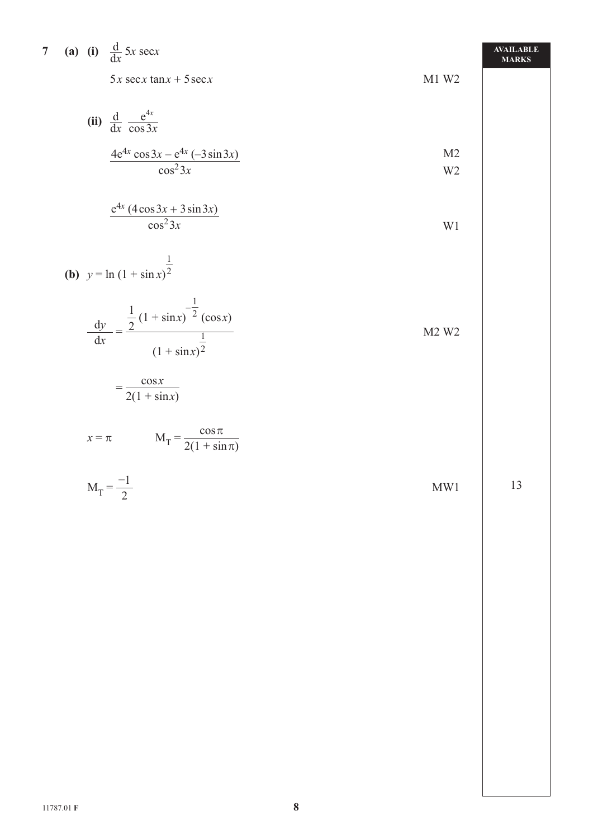13 **AVAILABLE AVAILABI**<br> **MARKS 1 a** 5*x* sec*x*  $5x \sec x \tan x + 5 \sec x$  M1 W2 **(ii)**  $\frac{d}{dx} \frac{e^{4x}}{x^2+2x^2}$ d*x* e cos 3*x*  $\frac{4e^{4x}\cos 3x - e^{4x}(-3\sin 3x)}{x^2}$  $\cos^2 3x$ M2 W2  $\frac{e^{4x}(4\cos 3x + 3\sin 3x)}{200}$  $\cos^2 3x$  W1 **(b)**  $y = \ln(1 + \sin x)$ 1 2  $\frac{dy}{dx}$ d*x* = 1 2  $(1 + \sin x)$  $-\frac{1}{2}$  $2$  (cos *x*)  $(1 + \sin x)$ 1 2 M2 W2  $=\frac{\cos x}{2(1-x^2)}$  $2(1 + \sin x)$  $x = \pi$   $M_T = \frac{\cos \pi}{2(1 + \sin^2 \pi)}$  $2(1 + \sin \pi)$  $M_T = \frac{-1}{2}$ MW1